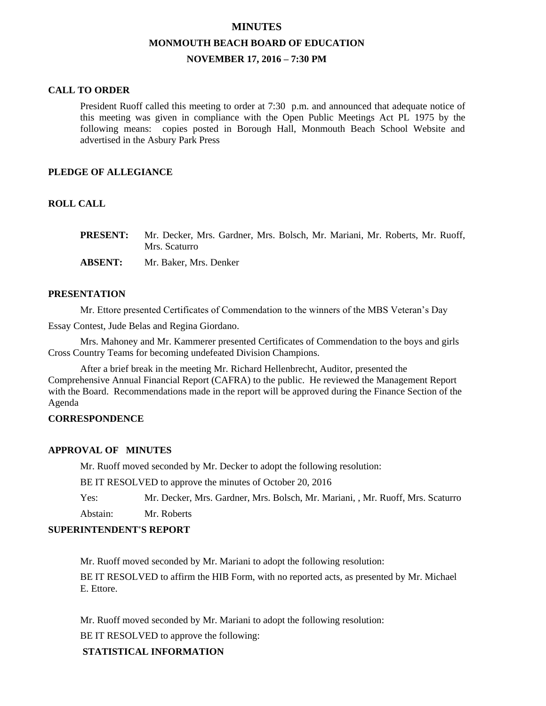# **MINUTES MONMOUTH BEACH BOARD OF EDUCATION NOVEMBER 17, 2016 – 7:30 PM**

### **CALL TO ORDER**

President Ruoff called this meeting to order at 7:30 p.m. and announced that adequate notice of this meeting was given in compliance with the Open Public Meetings Act PL 1975 by the following means: copies posted in Borough Hall, Monmouth Beach School Website and advertised in the Asbury Park Press

# **PLEDGE OF ALLEGIANCE**

# **ROLL CALL**

| <b>PRESENT:</b> | Mr. Decker, Mrs. Gardner, Mrs. Bolsch, Mr. Mariani, Mr. Roberts, Mr. Ruoff, |
|-----------------|-----------------------------------------------------------------------------|
|                 | Mrs. Scaturro                                                               |
| <b>ABSENT:</b>  | Mr. Baker, Mrs. Denker                                                      |

### **PRESENTATION**

Mr. Ettore presented Certificates of Commendation to the winners of the MBS Veteran's Day

Essay Contest, Jude Belas and Regina Giordano.

Mrs. Mahoney and Mr. Kammerer presented Certificates of Commendation to the boys and girls Cross Country Teams for becoming undefeated Division Champions.

After a brief break in the meeting Mr. Richard Hellenbrecht, Auditor, presented the Comprehensive Annual Financial Report (CAFRA) to the public. He reviewed the Management Report with the Board. Recommendations made in the report will be approved during the Finance Section of the Agenda

### **CORRESPONDENCE**

### **APPROVAL OF MINUTES**

Mr. Ruoff moved seconded by Mr. Decker to adopt the following resolution:

BE IT RESOLVED to approve the minutes of October 20, 2016

Yes: Mr. Decker, Mrs. Gardner, Mrs. Bolsch, Mr. Mariani, , Mr. Ruoff, Mrs. Scaturro

Abstain: Mr. Roberts

### **SUPERINTENDENT'S REPORT**

Mr. Ruoff moved seconded by Mr. Mariani to adopt the following resolution:

BE IT RESOLVED to affirm the HIB Form, with no reported acts, as presented by Mr. Michael E. Ettore.

Mr. Ruoff moved seconded by Mr. Mariani to adopt the following resolution:

BE IT RESOLVED to approve the following:

# **STATISTICAL INFORMATION**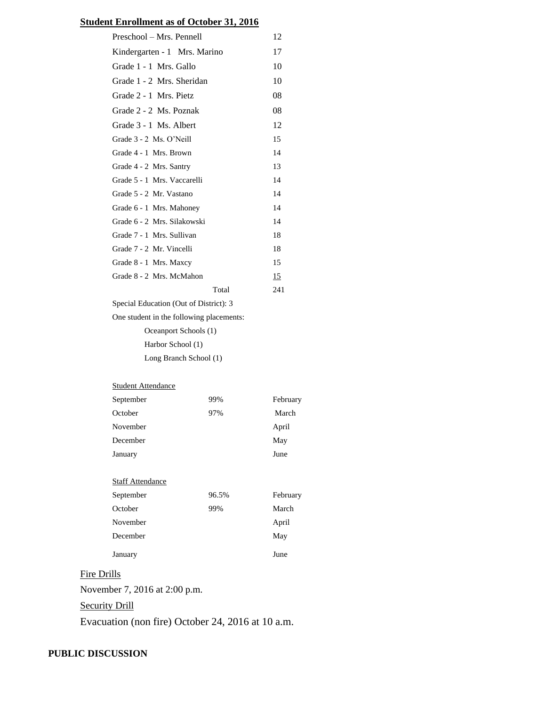# **Student Enrollment as of October 31, 2016**

| Preschool – Mrs. Pennell                 | 12  |  |  |  |
|------------------------------------------|-----|--|--|--|
| Kindergarten - 1 Mrs. Marino             | 17  |  |  |  |
| Grade 1 - 1 Mrs. Gallo                   | 10  |  |  |  |
| Grade 1 - 2 Mrs. Sheridan                | 10  |  |  |  |
| Grade 2 - 1 Mrs. Pietz                   | 08  |  |  |  |
| Grade 2 - 2 Ms. Poznak                   | 08  |  |  |  |
| Grade 3 - 1 Ms. Albert                   | 12  |  |  |  |
| Grade 3 - 2 Ms. O'Neill                  | 15  |  |  |  |
| Grade 4 - 1 Mrs. Brown                   | 14  |  |  |  |
| Grade 4 - 2 Mrs. Santry                  | 13  |  |  |  |
| Grade 5 - 1 Mrs. Vaccarelli              | 14  |  |  |  |
| Grade 5 - 2 Mr. Vastano                  | 14  |  |  |  |
| Grade 6 - 1 Mrs. Mahoney                 | 14  |  |  |  |
| Grade 6 - 2 Mrs. Silakowski              | 14  |  |  |  |
| Grade 7 - 1 Mrs. Sullivan                | 18  |  |  |  |
| Grade 7 - 2 Mr. Vincelli                 | 18  |  |  |  |
| Grade 8 - 1 Mrs. Maxcy                   | 15  |  |  |  |
| Grade 8 - 2 Mrs. McMahon                 | 15  |  |  |  |
| Total                                    | 241 |  |  |  |
| Special Education (Out of District): 3   |     |  |  |  |
| One student in the following placements: |     |  |  |  |
| Oceanport Schools (1)                    |     |  |  |  |
| Harbor School (1)                        |     |  |  |  |
|                                          |     |  |  |  |

Long Branch School (1)

#### **Student Attendance**

| September | 99% | February |
|-----------|-----|----------|
| October   | 97% | March    |
| November  |     | April    |
| December  |     | May      |
| January   |     | June     |

# **Staff Attendance**

| September | 96.5% | February |
|-----------|-------|----------|
| October   | 99%   | March    |
| November  |       | April    |
| December  |       | May      |
| January   |       | June     |

# Fire Drills

November 7, 2016 at 2:00 p.m.

**Security Drill** 

Evacuation (non fire) October 24, 2016 at 10 a.m.

# **PUBLIC DISCUSSION**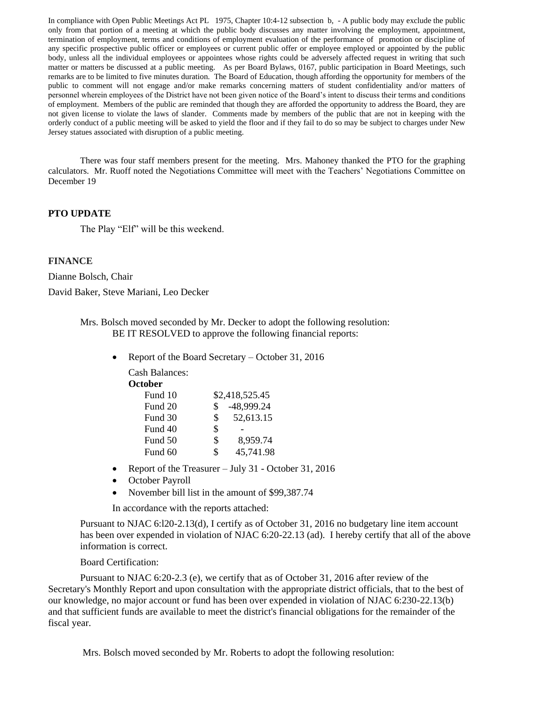In compliance with Open Public Meetings Act PL 1975, Chapter 10:4-12 subsection b, - A public body may exclude the public only from that portion of a meeting at which the public body discusses any matter involving the employment, appointment, termination of employment, terms and conditions of employment evaluation of the performance of promotion or discipline of any specific prospective public officer or employees or current public offer or employee employed or appointed by the public body, unless all the individual employees or appointees whose rights could be adversely affected request in writing that such matter or matters be discussed at a public meeting. As per Board Bylaws, 0167, public participation in Board Meetings, such remarks are to be limited to five minutes duration. The Board of Education, though affording the opportunity for members of the public to comment will not engage and/or make remarks concerning matters of student confidentiality and/or matters of personnel wherein employees of the District have not been given notice of the Board's intent to discuss their terms and conditions of employment. Members of the public are reminded that though they are afforded the opportunity to address the Board, they are not given license to violate the laws of slander. Comments made by members of the public that are not in keeping with the orderly conduct of a public meeting will be asked to yield the floor and if they fail to do so may be subject to charges under New Jersey statues associated with disruption of a public meeting.

There was four staff members present for the meeting. Mrs. Mahoney thanked the PTO for the graphing calculators. Mr. Ruoff noted the Negotiations Committee will meet with the Teachers' Negotiations Committee on December 19

### **PTO UPDATE**

The Play "Elf" will be this weekend.

### **FINANCE**

Dianne Bolsch, Chair David Baker, Steve Mariani, Leo Decker

> Mrs. Bolsch moved seconded by Mr. Decker to adopt the following resolution: BE IT RESOLVED to approve the following financial reports:

> > • Report of the Board Secretary – October 31, 2016

Cash Balances: **October** Fund 10 \$2,418,525.45 Fund 20 \$ -48,999.24 Fund 30 \$ 52,613.15 Fund 40 \$ -Fund 50 \$ 8,959.74

- Report of the Treasurer July 31 October 31, 2016
- October Payroll
- November bill list in the amount of \$99,387.74

Fund 60 \$ 45,741.98

In accordance with the reports attached:

Pursuant to NJAC 6:l20-2.13(d), I certify as of October 31, 2016 no budgetary line item account has been over expended in violation of NJAC 6:20-22.13 (ad). I hereby certify that all of the above information is correct.

### Board Certification:

Pursuant to NJAC 6:20-2.3 (e), we certify that as of October 31, 2016 after review of the Secretary's Monthly Report and upon consultation with the appropriate district officials, that to the best of our knowledge, no major account or fund has been over expended in violation of NJAC 6:230-22.13(b) and that sufficient funds are available to meet the district's financial obligations for the remainder of the fiscal year.

Mrs. Bolsch moved seconded by Mr. Roberts to adopt the following resolution: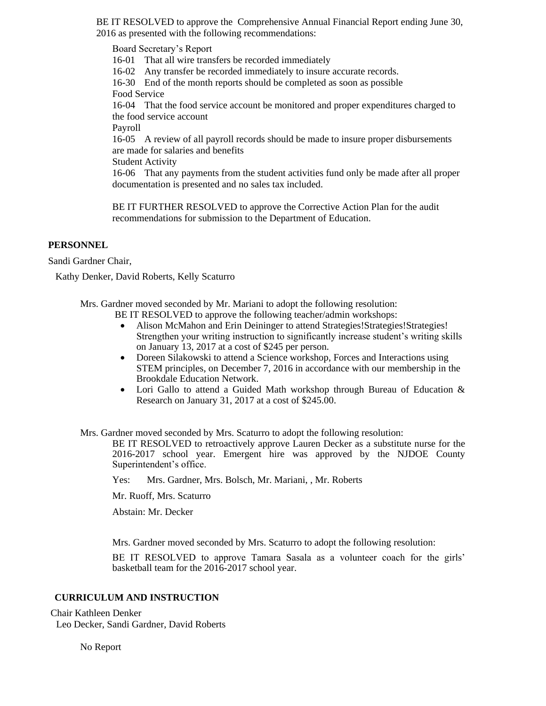BE IT RESOLVED to approve the Comprehensive Annual Financial Report ending June 30, 2016 as presented with the following recommendations:

Board Secretary's Report 16-01 That all wire transfers be recorded immediately 16-02 Any transfer be recorded immediately to insure accurate records. 16-30 End of the month reports should be completed as soon as possible Food Service 16-04 That the food service account be monitored and proper expenditures charged to the food service account Payroll 16-05 A review of all payroll records should be made to insure proper disbursements are made for salaries and benefits Student Activity 16-06 That any payments from the student activities fund only be made after all proper documentation is presented and no sales tax included.

BE IT FURTHER RESOLVED to approve the Corrective Action Plan for the audit recommendations for submission to the Department of Education.

# **PERSONNEL**

Sandi Gardner Chair,

Kathy Denker, David Roberts, Kelly Scaturro

Mrs. Gardner moved seconded by Mr. Mariani to adopt the following resolution:

- BE IT RESOLVED to approve the following teacher/admin workshops:
	- Alison McMahon and Erin Deininger to attend Strategies! Strategies! Strategies! Strengthen your writing instruction to significantly increase student's writing skills on January 13, 2017 at a cost of \$245 per person.
	- Doreen Silakowski to attend a Science workshop, Forces and Interactions using STEM principles, on December 7, 2016 in accordance with our membership in the Brookdale Education Network.
	- Lori Gallo to attend a Guided Math workshop through Bureau of Education & Research on January 31, 2017 at a cost of \$245.00.

Mrs. Gardner moved seconded by Mrs. Scaturro to adopt the following resolution:

BE IT RESOLVED to retroactively approve Lauren Decker as a substitute nurse for the 2016-2017 school year. Emergent hire was approved by the NJDOE County Superintendent's office.

Yes: Mrs. Gardner, Mrs. Bolsch, Mr. Mariani, , Mr. Roberts

Mr. Ruoff, Mrs. Scaturro

Abstain: Mr. Decker

Mrs. Gardner moved seconded by Mrs. Scaturro to adopt the following resolution:

BE IT RESOLVED to approve Tamara Sasala as a volunteer coach for the girls' basketball team for the 2016-2017 school year.

### **CURRICULUM AND INSTRUCTION**

Chair Kathleen Denker Leo Decker, Sandi Gardner, David Roberts

No Report